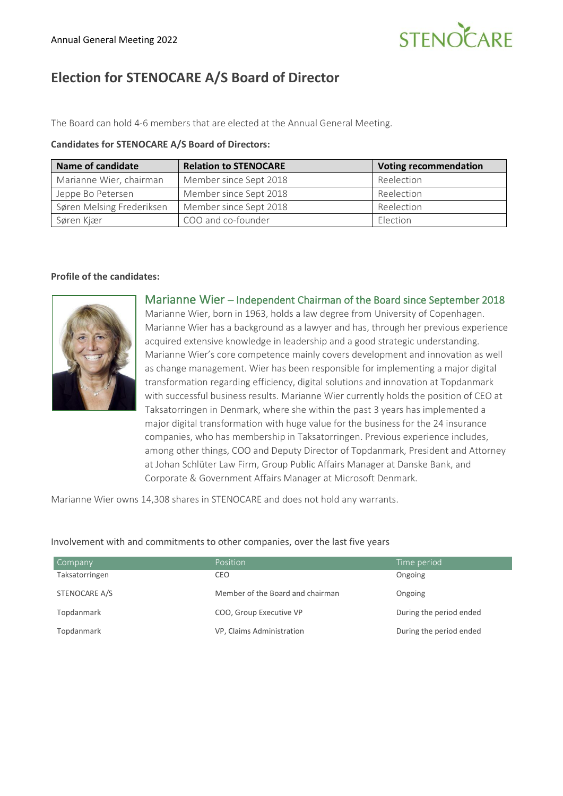# STENOCARE

## **Election for STENOCARE A/S Board of Director**

The Board can hold 4-6 members that are elected at the Annual General Meeting.

#### **Candidates for STENOCARE A/S Board of Directors:**

| <b>Name of candidate</b>  | <b>Relation to STENOCARE</b> | <b>Voting recommendation</b> |
|---------------------------|------------------------------|------------------------------|
| Marianne Wier, chairman   | Member since Sept 2018       | Reelection                   |
| Jeppe Bo Petersen         | Member since Sept 2018       | Reelection                   |
| Søren Melsing Frederiksen | Member since Sept 2018       | Reelection                   |
| Søren Kjær                | COO and co-founder           | <b>Flection</b>              |

#### **Profile of the candidates:**



Marianne Wier – Independent Chairman of the Board since September 2018 Marianne Wier, born in 1963, holds a law degree from University of Copenhagen. Marianne Wier has a background as a lawyer and has, through her previous experience acquired extensive knowledge in leadership and a good strategic understanding. Marianne Wier's core competence mainly covers development and innovation as well as change management. Wier has been responsible for implementing a major digital transformation regarding efficiency, digital solutions and innovation at Topdanmark with successful business results. Marianne Wier currently holds the position of CEO at Taksatorringen in Denmark, where she within the past 3 years has implemented a major digital transformation with huge value for the business for the 24 insurance companies, who has membership in Taksatorringen. Previous experience includes, among other things, COO and Deputy Director of Topdanmark, President and Attorney at Johan Schlüter Law Firm, Group Public Affairs Manager at Danske Bank, and Corporate & Government Affairs Manager at Microsoft Denmark.

Marianne Wier owns 14,308 shares in STENOCARE and does not hold any warrants.

#### Company **Company Position** Position **Position Time period** Taksatorringen STENOCARE A/S CEO Member of the Board and chairman Ongoing Ongoing Topdanmark **COO, Group Executive VP** During the period ended Topdanmark **VP, Claims Administration During the period ended** by During the period ended

#### Involvement with and commitments to other companies, over the last five years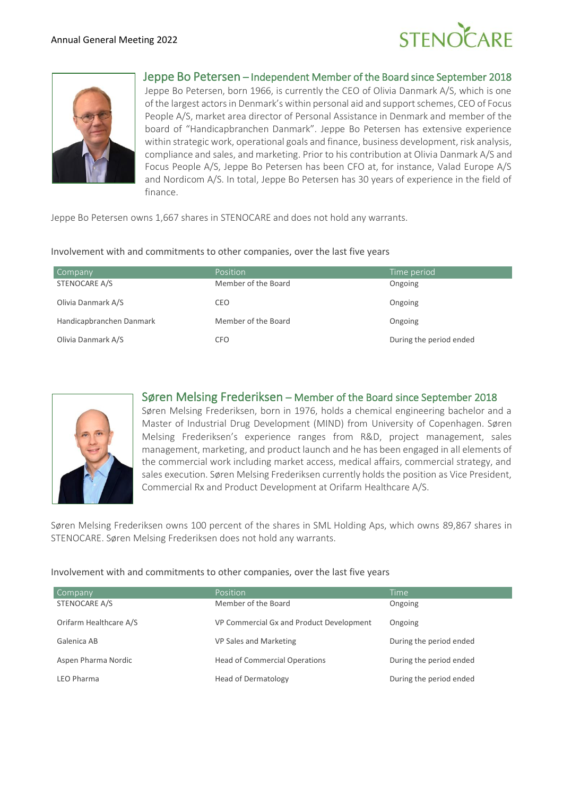



#### Jeppe Bo Petersen – Independent Member of the Board since September 2018

Jeppe Bo Petersen, born 1966, is currently the CEO of Olivia Danmark A/S, which is one of the largest actors in Denmark's within personal aid and support schemes, CEO of Focus People A/S, market area director of Personal Assistance in Denmark and member of the board of "Handicapbranchen Danmark". Jeppe Bo Petersen has extensive experience within strategic work, operational goals and finance, business development, risk analysis, compliance and sales, and marketing. Prior to his contribution at Olivia Danmark A/S and Focus People A/S, Jeppe Bo Petersen has been CFO at, for instance, Valad Europe A/S and Nordicom A/S. In total, Jeppe Bo Petersen has 30 years of experience in the field of finance.

Jeppe Bo Petersen owns 1,667 shares in STENOCARE and does not hold any warrants.

#### Involvement with and commitments to other companies, over the last five years

| Company                  | Position            | Time period             |
|--------------------------|---------------------|-------------------------|
| STENOCARE A/S            | Member of the Board | Ongoing                 |
| Olivia Danmark A/S       | CEO                 | Ongoing                 |
| Handicapbranchen Danmark | Member of the Board | Ongoing                 |
| Olivia Danmark A/S       | CFO                 | During the period ended |



#### Søren Melsing Frederiksen – Member of the Board since September 2018

Søren Melsing Frederiksen, born in 1976, holds a chemical engineering bachelor and a Master of Industrial Drug Development (MIND) from University of Copenhagen. Søren Melsing Frederiksen's experience ranges from R&D, project management, sales management, marketing, and product launch and he has been engaged in all elements of the commercial work including market access, medical affairs, commercial strategy, and sales execution. Søren Melsing Frederiksen currently holds the position as Vice President, Commercial Rx and Product Development at Orifarm Healthcare A/S.

Søren Melsing Frederiksen owns 100 percent of the shares in SML Holding Aps, which owns 89,867 shares in STENOCARE. Søren Melsing Frederiksen does not hold any warrants.

#### Involvement with and commitments to other companies, over the last five years

| Company                | Position                                 | Time                    |
|------------------------|------------------------------------------|-------------------------|
| STENOCARE A/S          | Member of the Board                      | Ongoing                 |
| Orifarm Healthcare A/S | VP Commercial Gx and Product Development | Ongoing                 |
| Galenica AB            | VP Sales and Marketing                   | During the period ended |
| Aspen Pharma Nordic    | <b>Head of Commercial Operations</b>     | During the period ended |
| LEO Pharma             | <b>Head of Dermatology</b>               | During the period ended |